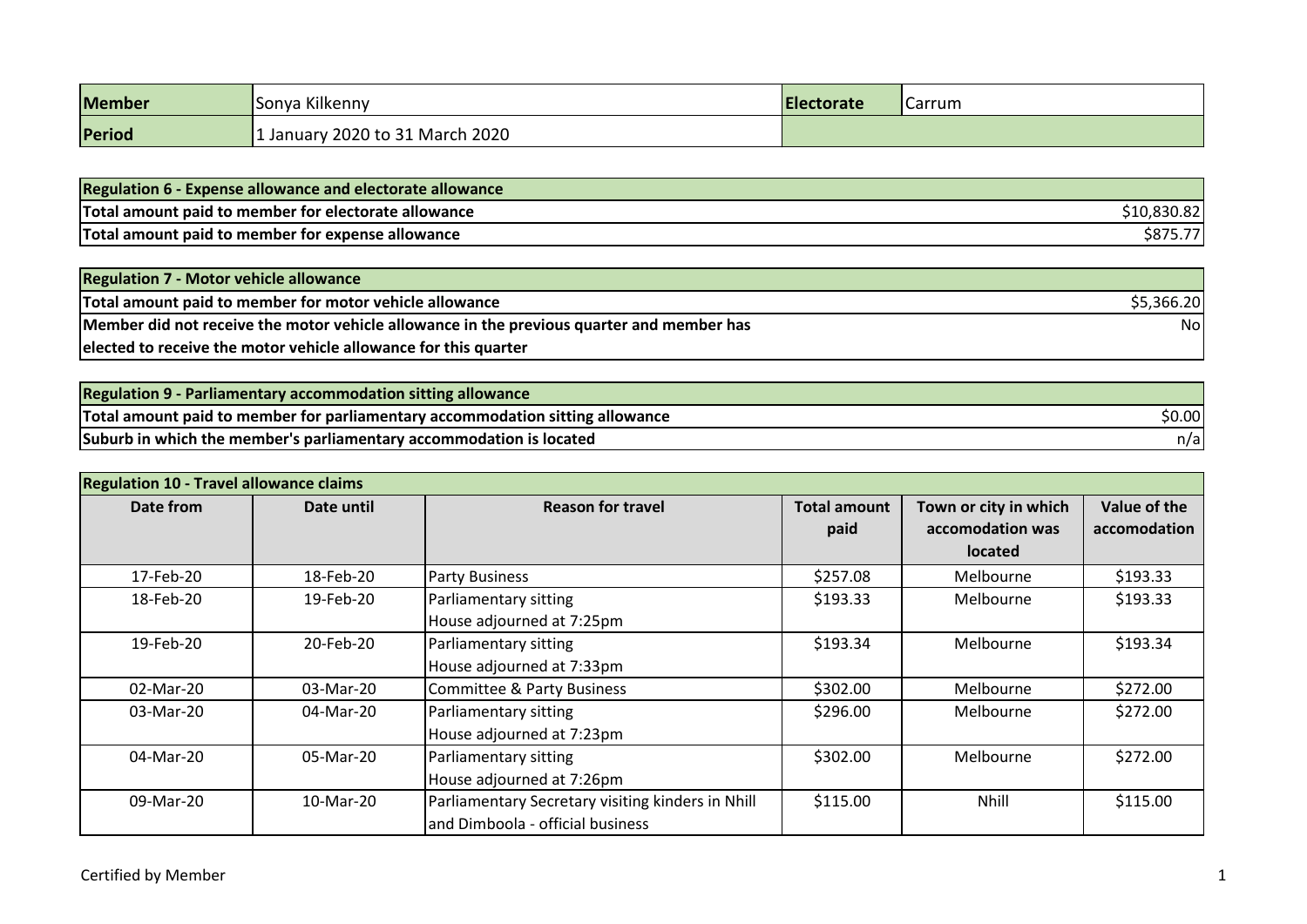| <b>Member</b> | Sonya Kilkenny                  | <b>Electorate</b> | <b>I</b> Carrum |
|---------------|---------------------------------|-------------------|-----------------|
| Period        | 1 January 2020 to 31 March 2020 |                   |                 |

| <b>Regulation 6 - Expense allowance and electorate allowance</b> |  |
|------------------------------------------------------------------|--|
| Total amount paid to member for electorate allowance             |  |
| Total amount paid to member for expense allowance                |  |

| <b>Regulation 7 - Motor vehicle allowance</b>                                             |            |
|-------------------------------------------------------------------------------------------|------------|
| Total amount paid to member for motor vehicle allowance                                   | \$5,366.20 |
| Member did not receive the motor vehicle allowance in the previous quarter and member has | Nol        |
| elected to receive the motor vehicle allowance for this quarter                           |            |

| <b>Regulation 9 - Parliamentary accommodation sitting allowance</b>           |        |
|-------------------------------------------------------------------------------|--------|
| Total amount paid to member for parliamentary accommodation sitting allowance | \$0.00 |
| Suburb in which the member's parliamentary accommodation is located           | n/al   |

| <b>Regulation 10 - Travel allowance claims</b> |            |                                                   |                       |                       |              |  |
|------------------------------------------------|------------|---------------------------------------------------|-----------------------|-----------------------|--------------|--|
| Date from                                      | Date until | <b>Total amount</b><br><b>Reason for travel</b>   |                       | Town or city in which | Value of the |  |
|                                                |            |                                                   | paid                  |                       | accomodation |  |
|                                                |            |                                                   |                       | <b>located</b>        |              |  |
| 17-Feb-20                                      | 18-Feb-20  | <b>Party Business</b>                             | \$257.08              | Melbourne             | \$193.33     |  |
| 18-Feb-20                                      | 19-Feb-20  | Parliamentary sitting                             | \$193.33              | Melbourne             | \$193.33     |  |
|                                                |            | House adjourned at 7:25pm                         |                       |                       |              |  |
| 19-Feb-20                                      | 20-Feb-20  | Parliamentary sitting                             | \$193.34              | \$193.34<br>Melbourne |              |  |
|                                                |            | House adjourned at 7:33pm                         |                       |                       |              |  |
| 02-Mar-20                                      | 03-Mar-20  | Committee & Party Business                        | \$302.00<br>Melbourne |                       | \$272.00     |  |
| 03-Mar-20                                      | 04-Mar-20  | Parliamentary sitting                             | \$296.00              | Melbourne             | \$272.00     |  |
|                                                |            | House adjourned at 7:23pm                         |                       |                       |              |  |
| 04-Mar-20                                      | 05-Mar-20  | Parliamentary sitting                             | \$302.00              | \$272.00<br>Melbourne |              |  |
|                                                |            | House adjourned at 7:26pm                         |                       |                       |              |  |
| 09-Mar-20                                      | 10-Mar-20  | Parliamentary Secretary visiting kinders in Nhill | \$115.00              | <b>Nhill</b>          | \$115.00     |  |
|                                                |            | and Dimboola - official business                  |                       |                       |              |  |